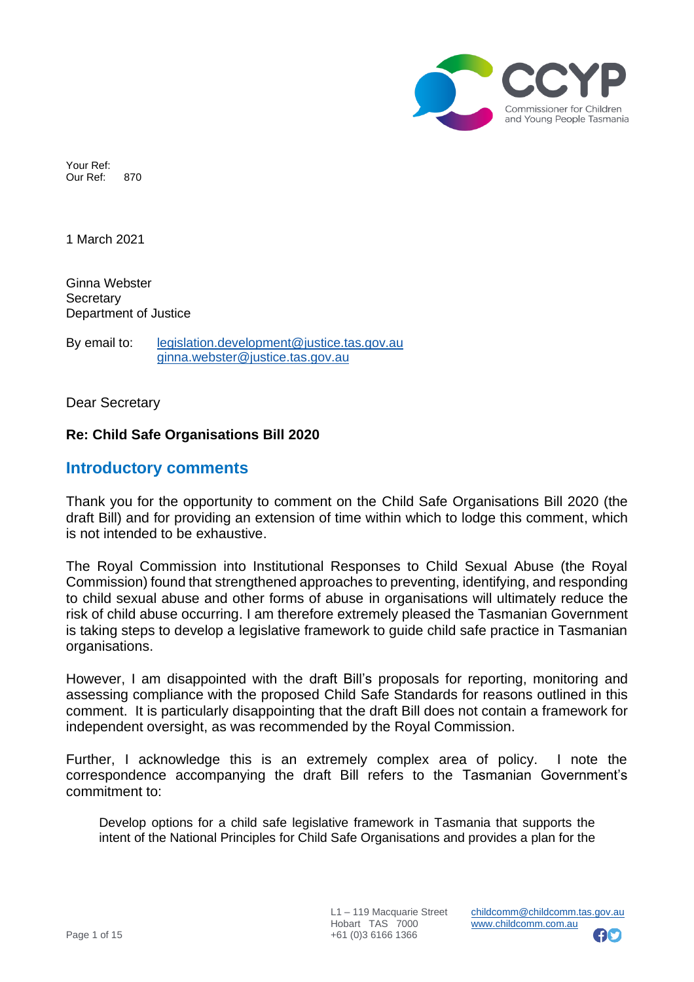

Your Ref: Our Ref: 870

1 March 2021

Ginna Webster **Secretary** Department of Justice

By email to: [legislation.development@justice.tas.gov.au](mailto:legislation.development@justice.tas.gov.au) [ginna.webster@justice.tas.gov.au](mailto:ginna.webster@justice.tas.gov.au)

Dear Secretary

## **Re: Child Safe Organisations Bill 2020**

# **Introductory comments**

Thank you for the opportunity to comment on the Child Safe Organisations Bill 2020 (the draft Bill) and for providing an extension of time within which to lodge this comment, which is not intended to be exhaustive.

The Royal Commission into Institutional Responses to Child Sexual Abuse (the Royal Commission) found that strengthened approaches to preventing, identifying, and responding to child sexual abuse and other forms of abuse in organisations will ultimately reduce the risk of child abuse occurring. I am therefore extremely pleased the Tasmanian Government is taking steps to develop a legislative framework to guide child safe practice in Tasmanian organisations.

However, I am disappointed with the draft Bill's proposals for reporting, monitoring and assessing compliance with the proposed Child Safe Standards for reasons outlined in this comment. It is particularly disappointing that the draft Bill does not contain a framework for independent oversight, as was recommended by the Royal Commission.

Further, I acknowledge this is an extremely complex area of policy. I note the correspondence accompanying the draft Bill refers to the Tasmanian Government's commitment to:

Develop options for a child safe legislative framework in Tasmania that supports the intent of the National Principles for Child Safe Organisations and provides a plan for the

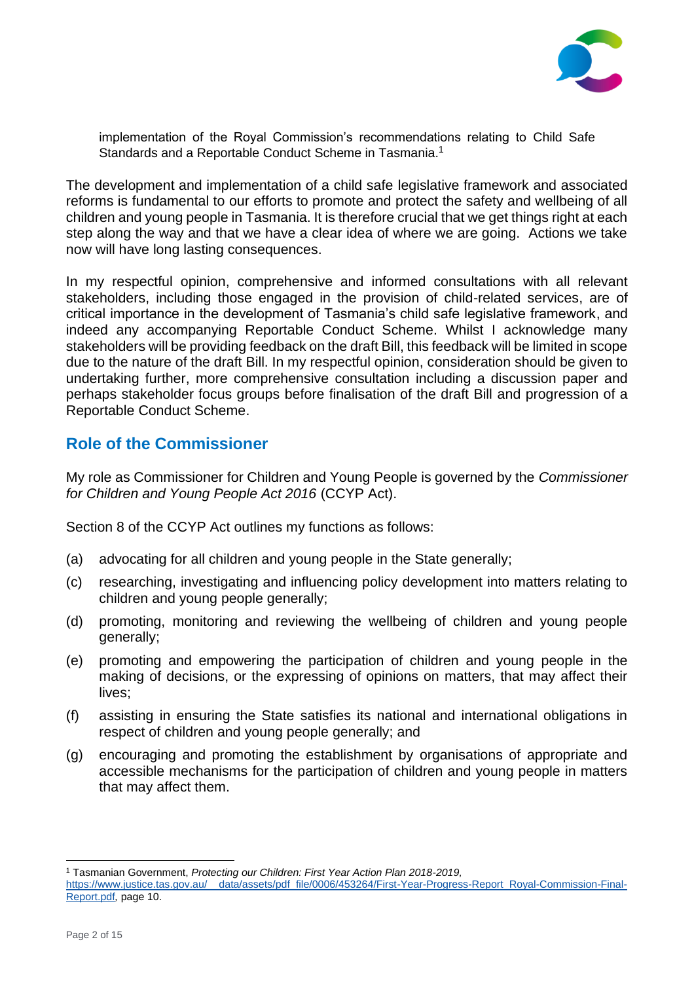

implementation of the Royal Commission's recommendations relating to Child Safe Standards and a Reportable Conduct Scheme in Tasmania.<sup>1</sup>

The development and implementation of a child safe legislative framework and associated reforms is fundamental to our efforts to promote and protect the safety and wellbeing of all children and young people in Tasmania. It is therefore crucial that we get things right at each step along the way and that we have a clear idea of where we are going. Actions we take now will have long lasting consequences.

In my respectful opinion, comprehensive and informed consultations with all relevant stakeholders, including those engaged in the provision of child-related services, are of critical importance in the development of Tasmania's child safe legislative framework, and indeed any accompanying Reportable Conduct Scheme. Whilst I acknowledge many stakeholders will be providing feedback on the draft Bill, this feedback will be limited in scope due to the nature of the draft Bill. In my respectful opinion, consideration should be given to undertaking further, more comprehensive consultation including a discussion paper and perhaps stakeholder focus groups before finalisation of the draft Bill and progression of a Reportable Conduct Scheme.

# **Role of the Commissioner**

My role as Commissioner for Children and Young People is governed by the *Commissioner for Children and Young People Act 2016* (CCYP Act).

Section 8 of the CCYP Act outlines my functions as follows:

- (a) advocating for all children and young people in the State generally;
- (c) researching, investigating and influencing policy development into matters relating to children and young people generally;
- (d) promoting, monitoring and reviewing the wellbeing of children and young people generally;
- (e) promoting and empowering the participation of children and young people in the making of decisions, or the expressing of opinions on matters, that may affect their lives;
- (f) assisting in ensuring the State satisfies its national and international obligations in respect of children and young people generally; and
- (g) encouraging and promoting the establishment by organisations of appropriate and accessible mechanisms for the participation of children and young people in matters that may affect them.

<sup>1</sup> Tasmanian Government, *Protecting our Children: First Year Action Plan 2018-2019,*  [https://www.justice.tas.gov.au/\\_\\_data/assets/pdf\\_file/0006/453264/First-Year-Progress-Report\\_Royal-Commission-Final-](https://www.justice.tas.gov.au/__data/assets/pdf_file/0006/453264/First-Year-Progress-Report_Royal-Commission-Final-Report.pdf)[Report.pdf](https://www.justice.tas.gov.au/__data/assets/pdf_file/0006/453264/First-Year-Progress-Report_Royal-Commission-Final-Report.pdf)*,* page 10.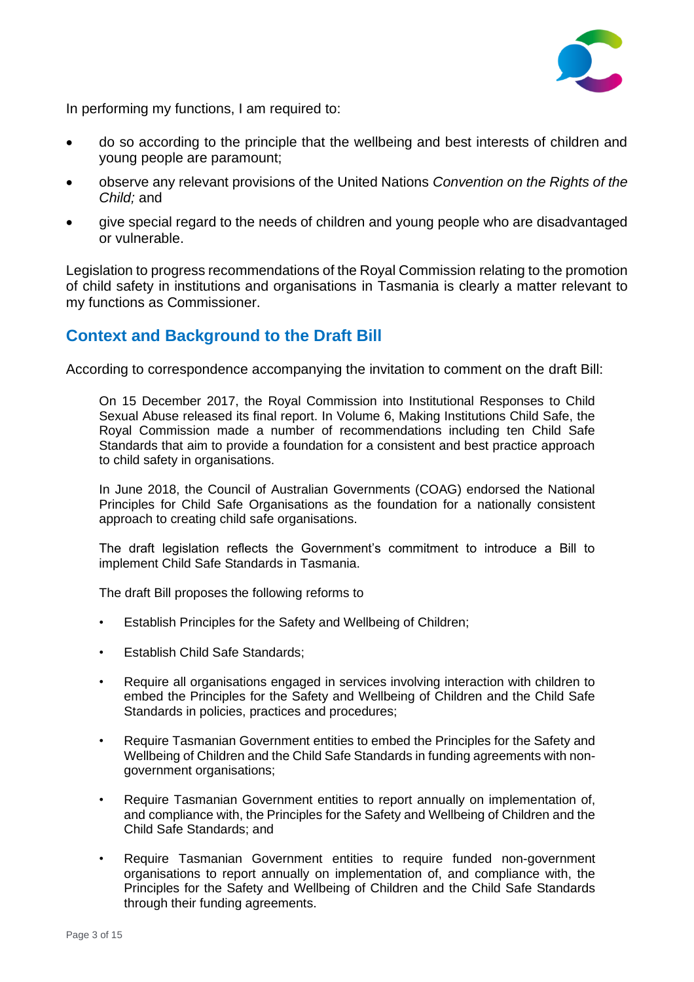

In performing my functions, I am required to:

- do so according to the principle that the wellbeing and best interests of children and young people are paramount;
- observe any relevant provisions of the United Nations *Convention on the Rights of the Child;* and
- give special regard to the needs of children and young people who are disadvantaged or vulnerable.

Legislation to progress recommendations of the Royal Commission relating to the promotion of child safety in institutions and organisations in Tasmania is clearly a matter relevant to my functions as Commissioner.

# **Context and Background to the Draft Bill**

According to correspondence accompanying the invitation to comment on the draft Bill:

On 15 December 2017, the Royal Commission into Institutional Responses to Child Sexual Abuse released its final report. In Volume 6, Making Institutions Child Safe, the Royal Commission made a number of recommendations including ten Child Safe Standards that aim to provide a foundation for a consistent and best practice approach to child safety in organisations.

In June 2018, the Council of Australian Governments (COAG) endorsed the National Principles for Child Safe Organisations as the foundation for a nationally consistent approach to creating child safe organisations.

The draft legislation reflects the Government's commitment to introduce a Bill to implement Child Safe Standards in Tasmania.

The draft Bill proposes the following reforms to

- Establish Principles for the Safety and Wellbeing of Children;
- Establish Child Safe Standards;
- Require all organisations engaged in services involving interaction with children to embed the Principles for the Safety and Wellbeing of Children and the Child Safe Standards in policies, practices and procedures;
- Require Tasmanian Government entities to embed the Principles for the Safety and Wellbeing of Children and the Child Safe Standards in funding agreements with nongovernment organisations;
- Require Tasmanian Government entities to report annually on implementation of, and compliance with, the Principles for the Safety and Wellbeing of Children and the Child Safe Standards; and
- Require Tasmanian Government entities to require funded non-government organisations to report annually on implementation of, and compliance with, the Principles for the Safety and Wellbeing of Children and the Child Safe Standards through their funding agreements.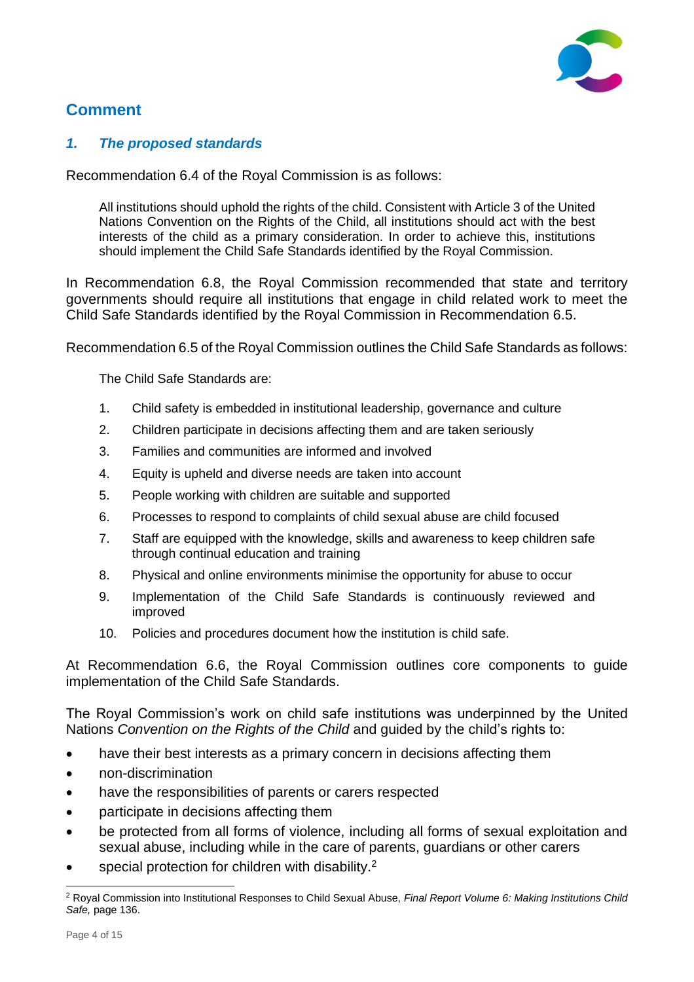

# **Comment**

## *1. The proposed standards*

Recommendation 6.4 of the Royal Commission is as follows:

All institutions should uphold the rights of the child. Consistent with Article 3 of the United Nations Convention on the Rights of the Child, all institutions should act with the best interests of the child as a primary consideration. In order to achieve this, institutions should implement the Child Safe Standards identified by the Royal Commission.

In Recommendation 6.8, the Royal Commission recommended that state and territory governments should require all institutions that engage in child related work to meet the Child Safe Standards identified by the Royal Commission in Recommendation 6.5.

Recommendation 6.5 of the Royal Commission outlines the Child Safe Standards as follows:

The Child Safe Standards are:

- 1. Child safety is embedded in institutional leadership, governance and culture
- 2. Children participate in decisions affecting them and are taken seriously
- 3. Families and communities are informed and involved
- 4. Equity is upheld and diverse needs are taken into account
- 5. People working with children are suitable and supported
- 6. Processes to respond to complaints of child sexual abuse are child focused
- 7. Staff are equipped with the knowledge, skills and awareness to keep children safe through continual education and training
- 8. Physical and online environments minimise the opportunity for abuse to occur
- 9. Implementation of the Child Safe Standards is continuously reviewed and improved
- 10. Policies and procedures document how the institution is child safe.

At Recommendation 6.6, the Royal Commission outlines core components to guide implementation of the Child Safe Standards.

The Royal Commission's work on child safe institutions was underpinned by the United Nations *Convention on the Rights of the Child* and guided by the child's rights to:

- have their best interests as a primary concern in decisions affecting them
- non-discrimination
- have the responsibilities of parents or carers respected
- participate in decisions affecting them
- be protected from all forms of violence, including all forms of sexual exploitation and sexual abuse, including while in the care of parents, guardians or other carers
- special protection for children with disability.<sup>2</sup>

<sup>2</sup> Royal Commission into Institutional Responses to Child Sexual Abuse, *Final Report Volume 6: Making Institutions Child Safe,* page 136.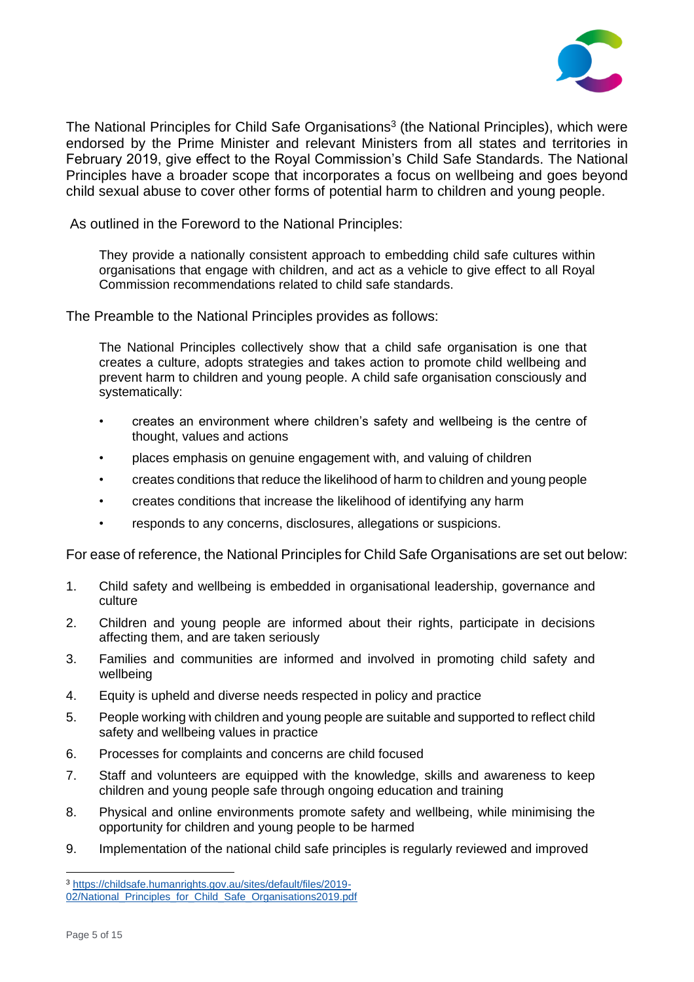

The National Principles for Child Safe Organisations<sup>3</sup> (the National Principles), which were endorsed by the Prime Minister and relevant Ministers from all states and territories in February 2019, give effect to the Royal Commission's Child Safe Standards. The National Principles have a broader scope that incorporates a focus on wellbeing and goes beyond child sexual abuse to cover other forms of potential harm to children and young people.

As outlined in the Foreword to the National Principles:

They provide a nationally consistent approach to embedding child safe cultures within organisations that engage with children, and act as a vehicle to give effect to all Royal Commission recommendations related to child safe standards.

The Preamble to the National Principles provides as follows:

The National Principles collectively show that a child safe organisation is one that creates a culture, adopts strategies and takes action to promote child wellbeing and prevent harm to children and young people. A child safe organisation consciously and systematically:

- creates an environment where children's safety and wellbeing is the centre of thought, values and actions
- places emphasis on genuine engagement with, and valuing of children
- creates conditions that reduce the likelihood of harm to children and young people
- creates conditions that increase the likelihood of identifying any harm
- responds to any concerns, disclosures, allegations or suspicions.

For ease of reference, the National Principles for Child Safe Organisations are set out below:

- 1. Child safety and wellbeing is embedded in organisational leadership, governance and culture
- 2. Children and young people are informed about their rights, participate in decisions affecting them, and are taken seriously
- 3. Families and communities are informed and involved in promoting child safety and wellbeing
- 4. Equity is upheld and diverse needs respected in policy and practice
- 5. People working with children and young people are suitable and supported to reflect child safety and wellbeing values in practice
- 6. Processes for complaints and concerns are child focused
- 7. Staff and volunteers are equipped with the knowledge, skills and awareness to keep children and young people safe through ongoing education and training
- 8. Physical and online environments promote safety and wellbeing, while minimising the opportunity for children and young people to be harmed
- 9. Implementation of the national child safe principles is regularly reviewed and improved

<sup>3</sup> [https://childsafe.humanrights.gov.au/sites/default/files/2019-](https://childsafe.humanrights.gov.au/sites/default/files/2019-02/National_Principles_for_Child_Safe_Organisations2019.pdf)

[<sup>02/</sup>National\\_Principles\\_for\\_Child\\_Safe\\_Organisations2019.pdf](https://childsafe.humanrights.gov.au/sites/default/files/2019-02/National_Principles_for_Child_Safe_Organisations2019.pdf)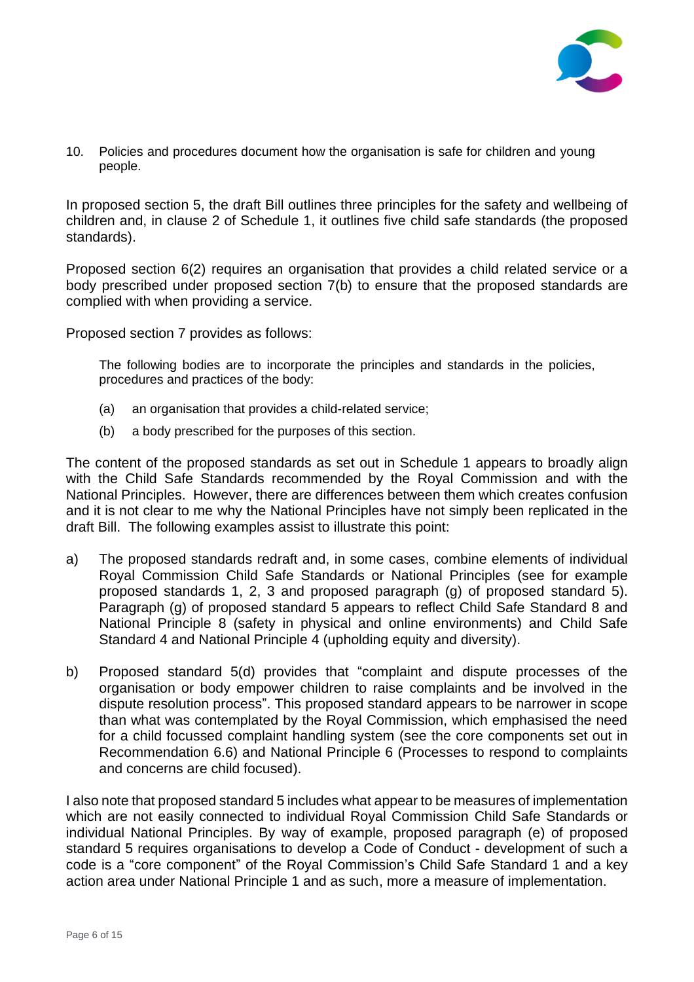

10. Policies and procedures document how the organisation is safe for children and young people.

In proposed section 5, the draft Bill outlines three principles for the safety and wellbeing of children and, in clause 2 of Schedule 1, it outlines five child safe standards (the proposed standards).

Proposed section 6(2) requires an organisation that provides a child related service or a body prescribed under proposed section 7(b) to ensure that the proposed standards are complied with when providing a service.

Proposed section 7 provides as follows:

The following bodies are to incorporate the principles and standards in the policies, procedures and practices of the body:

- (a) an organisation that provides a child-related service;
- (b) a body prescribed for the purposes of this section.

The content of the proposed standards as set out in Schedule 1 appears to broadly align with the Child Safe Standards recommended by the Royal Commission and with the National Principles. However, there are differences between them which creates confusion and it is not clear to me why the National Principles have not simply been replicated in the draft Bill. The following examples assist to illustrate this point:

- a) The proposed standards redraft and, in some cases, combine elements of individual Royal Commission Child Safe Standards or National Principles (see for example proposed standards 1, 2, 3 and proposed paragraph (g) of proposed standard 5). Paragraph (g) of proposed standard 5 appears to reflect Child Safe Standard 8 and National Principle 8 (safety in physical and online environments) and Child Safe Standard 4 and National Principle 4 (upholding equity and diversity).
- b) Proposed standard 5(d) provides that "complaint and dispute processes of the organisation or body empower children to raise complaints and be involved in the dispute resolution process". This proposed standard appears to be narrower in scope than what was contemplated by the Royal Commission, which emphasised the need for a child focussed complaint handling system (see the core components set out in Recommendation 6.6) and National Principle 6 (Processes to respond to complaints and concerns are child focused).

I also note that proposed standard 5 includes what appear to be measures of implementation which are not easily connected to individual Royal Commission Child Safe Standards or individual National Principles. By way of example, proposed paragraph (e) of proposed standard 5 requires organisations to develop a Code of Conduct - development of such a code is a "core component" of the Royal Commission's Child Safe Standard 1 and a key action area under National Principle 1 and as such, more a measure of implementation.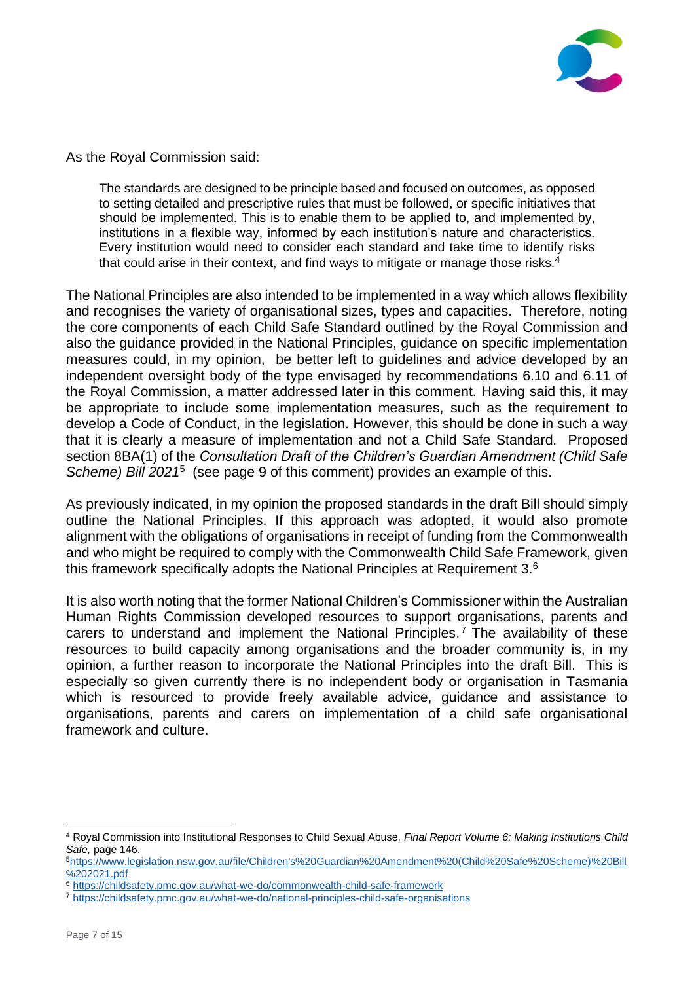

As the Royal Commission said:

The standards are designed to be principle based and focused on outcomes, as opposed to setting detailed and prescriptive rules that must be followed, or specific initiatives that should be implemented. This is to enable them to be applied to, and implemented by, institutions in a flexible way, informed by each institution's nature and characteristics. Every institution would need to consider each standard and take time to identify risks that could arise in their context, and find ways to mitigate or manage those risks.<sup>4</sup>

The National Principles are also intended to be implemented in a way which allows flexibility and recognises the variety of organisational sizes, types and capacities. Therefore, noting the core components of each Child Safe Standard outlined by the Royal Commission and also the guidance provided in the National Principles, guidance on specific implementation measures could, in my opinion, be better left to guidelines and advice developed by an independent oversight body of the type envisaged by recommendations 6.10 and 6.11 of the Royal Commission, a matter addressed later in this comment. Having said this, it may be appropriate to include some implementation measures, such as the requirement to develop a Code of Conduct, in the legislation. However, this should be done in such a way that it is clearly a measure of implementation and not a Child Safe Standard. Proposed section 8BA(1) of the *Consultation Draft of the Children's Guardian Amendment (Child Safe*  Scheme) Bill 2021<sup>5</sup> (see page 9 of this comment) provides an example of this.

As previously indicated, in my opinion the proposed standards in the draft Bill should simply outline the National Principles. If this approach was adopted, it would also promote alignment with the obligations of organisations in receipt of funding from the Commonwealth and who might be required to comply with the Commonwealth Child Safe Framework, given this framework specifically adopts the National Principles at Requirement 3. $6$ 

It is also worth noting that the former National Children's Commissioner within the Australian Human Rights Commission developed resources to support organisations, parents and carers to understand and implement the National Principles. <sup>7</sup> The availability of these resources to build capacity among organisations and the broader community is, in my opinion, a further reason to incorporate the National Principles into the draft Bill. This is especially so given currently there is no independent body or organisation in Tasmania which is resourced to provide freely available advice, guidance and assistance to organisations, parents and carers on implementation of a child safe organisational framework and culture.

<sup>4</sup> Royal Commission into Institutional Responses to Child Sexual Abuse, *Final Report Volume 6: Making Institutions Child Safe,* page 146.

<sup>5</sup>[https://www.legislation.nsw.gov.au/file/Children's%20Guardian%20Amendment%20\(Child%20Safe%20Scheme\)%20Bill](https://www.legislation.nsw.gov.au/file/Children) [%202021.pdf](https://www.legislation.nsw.gov.au/file/Children)

<sup>6</sup> <https://childsafety.pmc.gov.au/what-we-do/commonwealth-child-safe-framework>

<sup>7</sup> <https://childsafety.pmc.gov.au/what-we-do/national-principles-child-safe-organisations>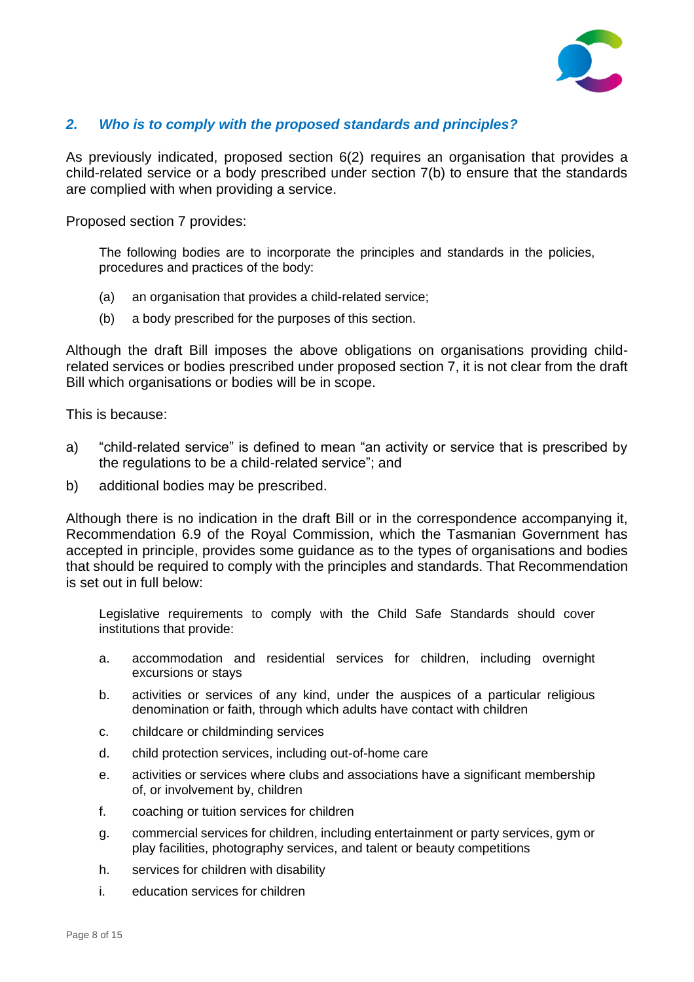

## *2. Who is to comply with the proposed standards and principles?*

As previously indicated, proposed section 6(2) requires an organisation that provides a child-related service or a body prescribed under section 7(b) to ensure that the standards are complied with when providing a service.

Proposed section 7 provides:

The following bodies are to incorporate the principles and standards in the policies, procedures and practices of the body:

- (a) an organisation that provides a child-related service;
- (b) a body prescribed for the purposes of this section.

Although the draft Bill imposes the above obligations on organisations providing childrelated services or bodies prescribed under proposed section 7, it is not clear from the draft Bill which organisations or bodies will be in scope.

This is because:

- a) "child-related service" is defined to mean "an activity or service that is prescribed by the regulations to be a child-related service"; and
- b) additional bodies may be prescribed.

Although there is no indication in the draft Bill or in the correspondence accompanying it, Recommendation 6.9 of the Royal Commission, which the Tasmanian Government has accepted in principle, provides some guidance as to the types of organisations and bodies that should be required to comply with the principles and standards. That Recommendation is set out in full below:

Legislative requirements to comply with the Child Safe Standards should cover institutions that provide:

- a. accommodation and residential services for children, including overnight excursions or stays
- b. activities or services of any kind, under the auspices of a particular religious denomination or faith, through which adults have contact with children
- c. childcare or childminding services
- d. child protection services, including out-of-home care
- e. activities or services where clubs and associations have a significant membership of, or involvement by, children
- f. coaching or tuition services for children
- g. commercial services for children, including entertainment or party services, gym or play facilities, photography services, and talent or beauty competitions
- h. services for children with disability
- i. education services for children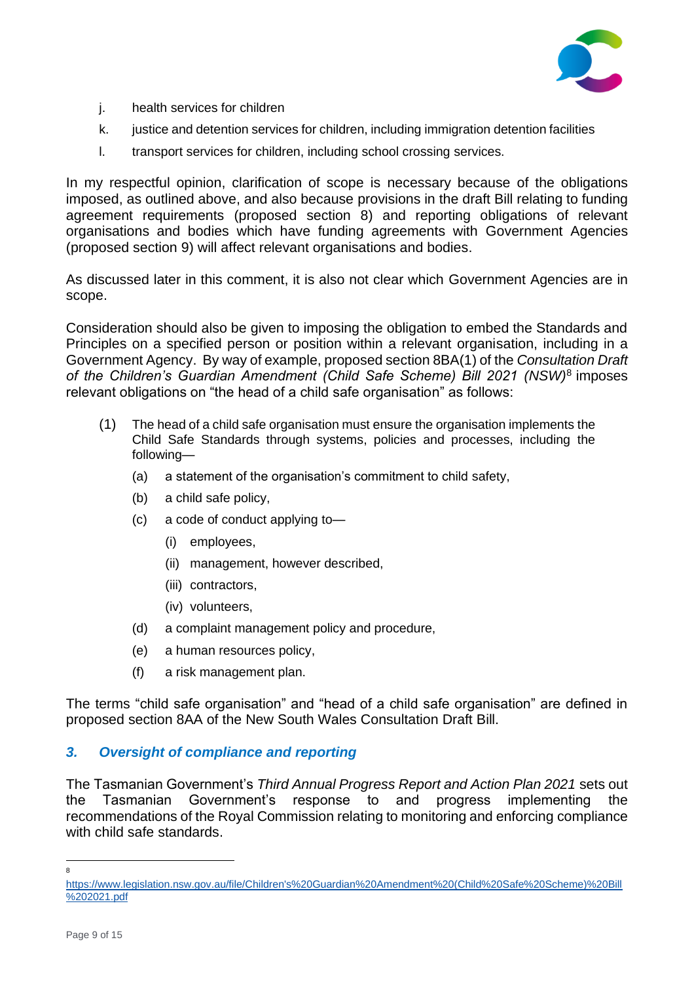

- j. health services for children
- k. justice and detention services for children, including immigration detention facilities
- l. transport services for children, including school crossing services.

In my respectful opinion, clarification of scope is necessary because of the obligations imposed, as outlined above, and also because provisions in the draft Bill relating to funding agreement requirements (proposed section 8) and reporting obligations of relevant organisations and bodies which have funding agreements with Government Agencies (proposed section 9) will affect relevant organisations and bodies.

As discussed later in this comment, it is also not clear which Government Agencies are in scope.

Consideration should also be given to imposing the obligation to embed the Standards and Principles on a specified person or position within a relevant organisation, including in a Government Agency. By way of example, proposed section 8BA(1) of the *Consultation Draft of the Children's Guardian Amendment (Child Safe Scheme) Bill 2021 (NSW)*<sup>8</sup> imposes relevant obligations on "the head of a child safe organisation" as follows:

- (1) The head of a child safe organisation must ensure the organisation implements the Child Safe Standards through systems, policies and processes, including the following—
	- (a) a statement of the organisation's commitment to child safety,
	- (b) a child safe policy,
	- (c) a code of conduct applying to—
		- (i) employees,
		- (ii) management, however described,
		- (iii) contractors,
		- (iv) volunteers,
	- (d) a complaint management policy and procedure,
	- (e) a human resources policy,
	- (f) a risk management plan.

The terms "child safe organisation" and "head of a child safe organisation" are defined in proposed section 8AA of the New South Wales Consultation Draft Bill.

## *3. Oversight of compliance and reporting*

The Tasmanian Government's *Third Annual Progress Report and Action Plan 2021* sets out the Tasmanian Government's response to and progress implementing the recommendations of the Royal Commission relating to monitoring and enforcing compliance with child safe standards.

8

[https://www.legislation.nsw.gov.au/file/Children's%20Guardian%20Amendment%20\(Child%20Safe%20Scheme\)%20Bill](https://www.legislation.nsw.gov.au/file/Children) [%202021.pdf](https://www.legislation.nsw.gov.au/file/Children)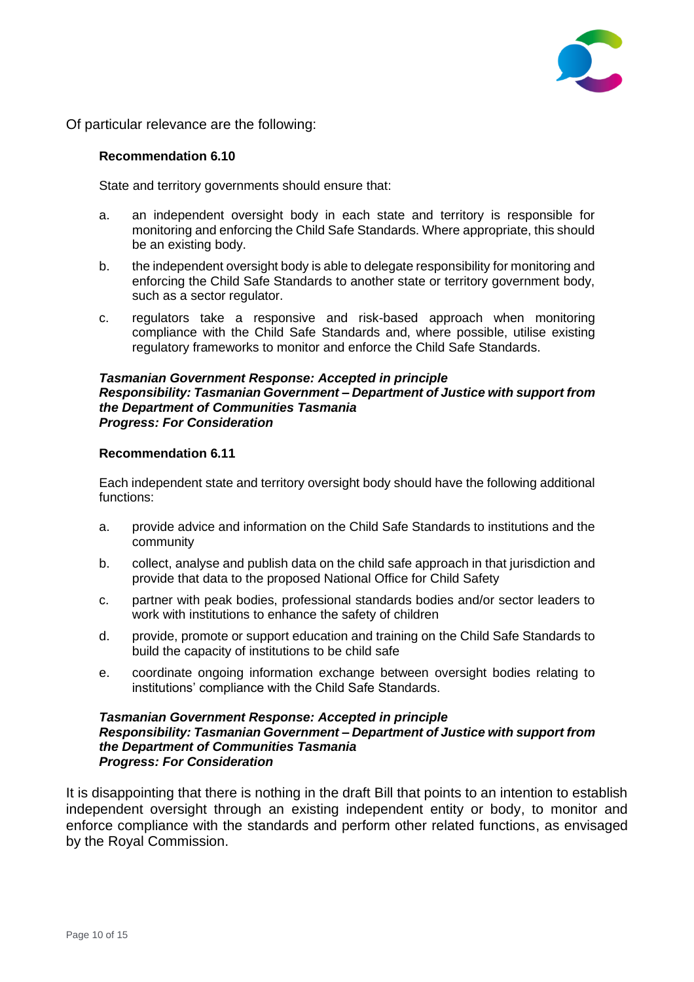

Of particular relevance are the following:

#### **Recommendation 6.10**

State and territory governments should ensure that:

- a. an independent oversight body in each state and territory is responsible for monitoring and enforcing the Child Safe Standards. Where appropriate, this should be an existing body.
- b. the independent oversight body is able to delegate responsibility for monitoring and enforcing the Child Safe Standards to another state or territory government body, such as a sector regulator.
- c. regulators take a responsive and risk-based approach when monitoring compliance with the Child Safe Standards and, where possible, utilise existing regulatory frameworks to monitor and enforce the Child Safe Standards.

#### *Tasmanian Government Response: Accepted in principle Responsibility: Tasmanian Government – Department of Justice with support from the Department of Communities Tasmania Progress: For Consideration*

#### **Recommendation 6.11**

Each independent state and territory oversight body should have the following additional functions:

- a. provide advice and information on the Child Safe Standards to institutions and the community
- b. collect, analyse and publish data on the child safe approach in that jurisdiction and provide that data to the proposed National Office for Child Safety
- c. partner with peak bodies, professional standards bodies and/or sector leaders to work with institutions to enhance the safety of children
- d. provide, promote or support education and training on the Child Safe Standards to build the capacity of institutions to be child safe
- e. coordinate ongoing information exchange between oversight bodies relating to institutions' compliance with the Child Safe Standards.

#### *Tasmanian Government Response: Accepted in principle Responsibility: Tasmanian Government – Department of Justice with support from the Department of Communities Tasmania Progress: For Consideration*

It is disappointing that there is nothing in the draft Bill that points to an intention to establish independent oversight through an existing independent entity or body, to monitor and enforce compliance with the standards and perform other related functions, as envisaged by the Royal Commission.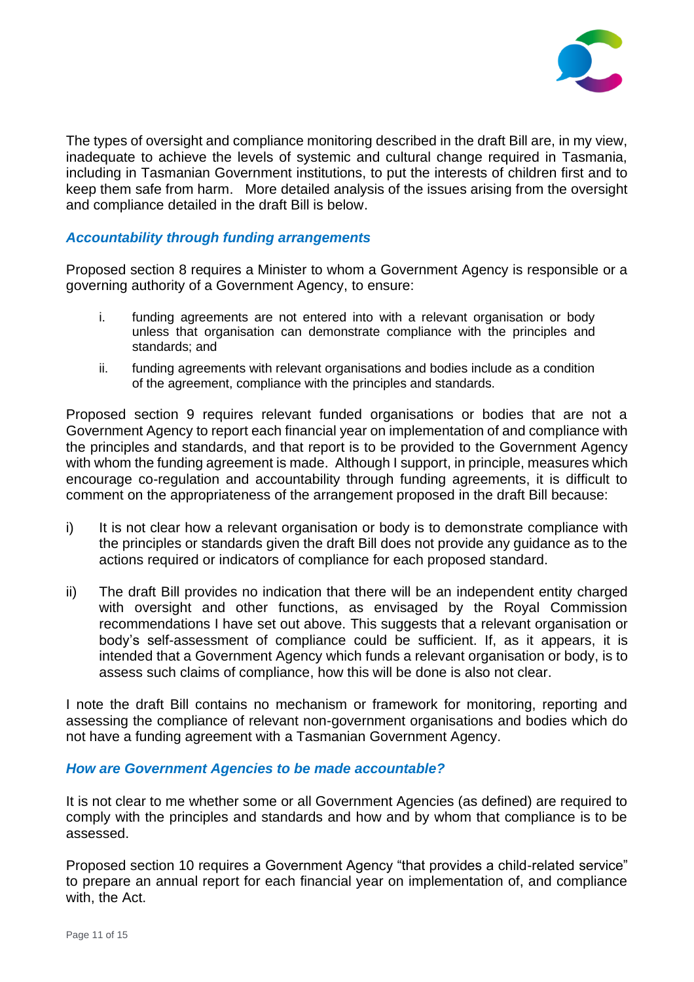

The types of oversight and compliance monitoring described in the draft Bill are, in my view, inadequate to achieve the levels of systemic and cultural change required in Tasmania, including in Tasmanian Government institutions, to put the interests of children first and to keep them safe from harm. More detailed analysis of the issues arising from the oversight and compliance detailed in the draft Bill is below.

## *Accountability through funding arrangements*

Proposed section 8 requires a Minister to whom a Government Agency is responsible or a governing authority of a Government Agency, to ensure:

- i. funding agreements are not entered into with a relevant organisation or body unless that organisation can demonstrate compliance with the principles and standards; and
- ii. funding agreements with relevant organisations and bodies include as a condition of the agreement, compliance with the principles and standards.

Proposed section 9 requires relevant funded organisations or bodies that are not a Government Agency to report each financial year on implementation of and compliance with the principles and standards, and that report is to be provided to the Government Agency with whom the funding agreement is made. Although I support, in principle, measures which encourage co-regulation and accountability through funding agreements, it is difficult to comment on the appropriateness of the arrangement proposed in the draft Bill because:

- i) It is not clear how a relevant organisation or body is to demonstrate compliance with the principles or standards given the draft Bill does not provide any guidance as to the actions required or indicators of compliance for each proposed standard.
- ii) The draft Bill provides no indication that there will be an independent entity charged with oversight and other functions, as envisaged by the Royal Commission recommendations I have set out above. This suggests that a relevant organisation or body's self-assessment of compliance could be sufficient. If, as it appears, it is intended that a Government Agency which funds a relevant organisation or body, is to assess such claims of compliance, how this will be done is also not clear.

I note the draft Bill contains no mechanism or framework for monitoring, reporting and assessing the compliance of relevant non-government organisations and bodies which do not have a funding agreement with a Tasmanian Government Agency.

## *How are Government Agencies to be made accountable?*

It is not clear to me whether some or all Government Agencies (as defined) are required to comply with the principles and standards and how and by whom that compliance is to be assessed.

Proposed section 10 requires a Government Agency "that provides a child-related service" to prepare an annual report for each financial year on implementation of, and compliance with, the Act.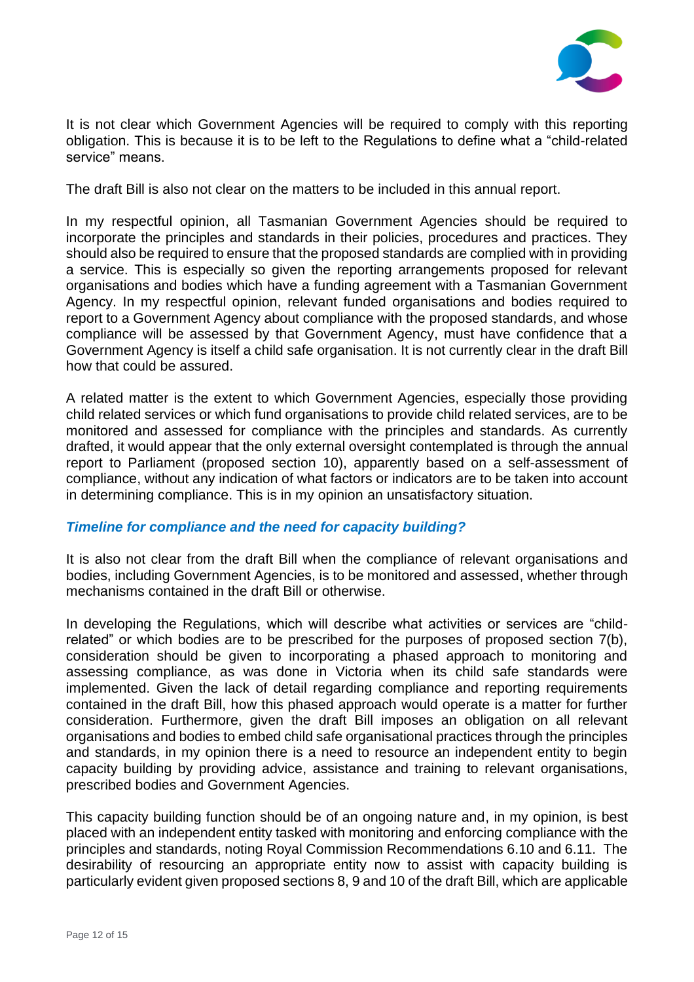

It is not clear which Government Agencies will be required to comply with this reporting obligation. This is because it is to be left to the Regulations to define what a "child-related service" means.

The draft Bill is also not clear on the matters to be included in this annual report.

In my respectful opinion, all Tasmanian Government Agencies should be required to incorporate the principles and standards in their policies, procedures and practices. They should also be required to ensure that the proposed standards are complied with in providing a service. This is especially so given the reporting arrangements proposed for relevant organisations and bodies which have a funding agreement with a Tasmanian Government Agency. In my respectful opinion, relevant funded organisations and bodies required to report to a Government Agency about compliance with the proposed standards, and whose compliance will be assessed by that Government Agency, must have confidence that a Government Agency is itself a child safe organisation. It is not currently clear in the draft Bill how that could be assured.

A related matter is the extent to which Government Agencies, especially those providing child related services or which fund organisations to provide child related services, are to be monitored and assessed for compliance with the principles and standards. As currently drafted, it would appear that the only external oversight contemplated is through the annual report to Parliament (proposed section 10), apparently based on a self-assessment of compliance, without any indication of what factors or indicators are to be taken into account in determining compliance. This is in my opinion an unsatisfactory situation.

## *Timeline for compliance and the need for capacity building?*

It is also not clear from the draft Bill when the compliance of relevant organisations and bodies, including Government Agencies, is to be monitored and assessed, whether through mechanisms contained in the draft Bill or otherwise.

In developing the Regulations, which will describe what activities or services are "childrelated" or which bodies are to be prescribed for the purposes of proposed section 7(b), consideration should be given to incorporating a phased approach to monitoring and assessing compliance, as was done in Victoria when its child safe standards were implemented. Given the lack of detail regarding compliance and reporting requirements contained in the draft Bill, how this phased approach would operate is a matter for further consideration. Furthermore, given the draft Bill imposes an obligation on all relevant organisations and bodies to embed child safe organisational practices through the principles and standards, in my opinion there is a need to resource an independent entity to begin capacity building by providing advice, assistance and training to relevant organisations, prescribed bodies and Government Agencies.

This capacity building function should be of an ongoing nature and, in my opinion, is best placed with an independent entity tasked with monitoring and enforcing compliance with the principles and standards, noting Royal Commission Recommendations 6.10 and 6.11. The desirability of resourcing an appropriate entity now to assist with capacity building is particularly evident given proposed sections 8, 9 and 10 of the draft Bill, which are applicable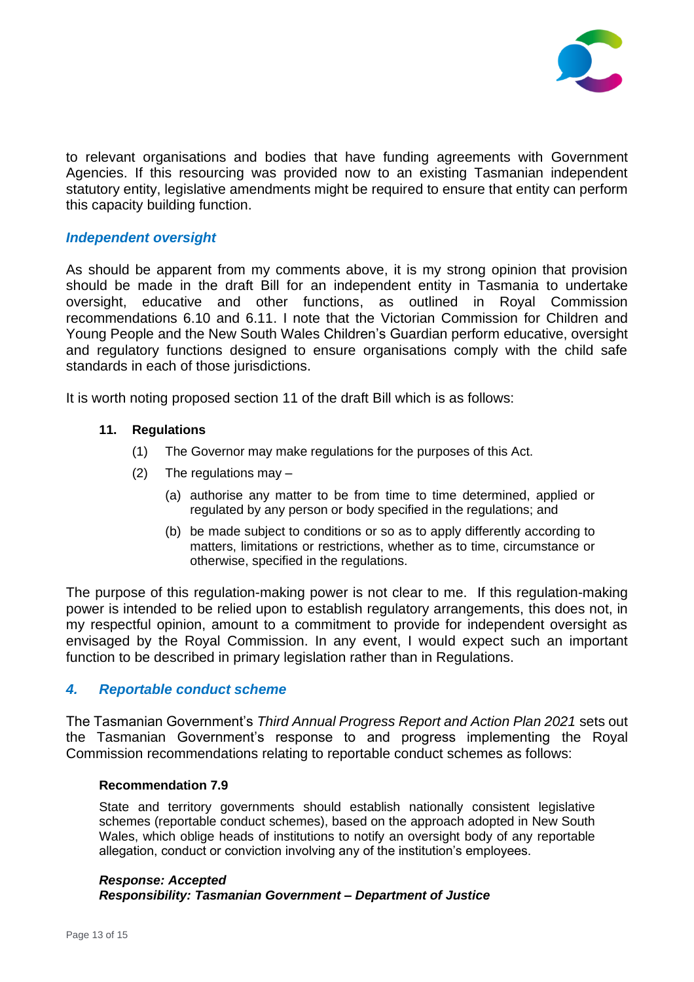

to relevant organisations and bodies that have funding agreements with Government Agencies. If this resourcing was provided now to an existing Tasmanian independent statutory entity, legislative amendments might be required to ensure that entity can perform this capacity building function.

## *Independent oversight*

As should be apparent from my comments above, it is my strong opinion that provision should be made in the draft Bill for an independent entity in Tasmania to undertake oversight, educative and other functions, as outlined in Royal Commission recommendations 6.10 and 6.11. I note that the Victorian Commission for Children and Young People and the New South Wales Children's Guardian perform educative, oversight and regulatory functions designed to ensure organisations comply with the child safe standards in each of those jurisdictions.

It is worth noting proposed section 11 of the draft Bill which is as follows:

## **11. Regulations**

- (1) The Governor may make regulations for the purposes of this Act.
- (2) The regulations may  $-$ 
	- (a) authorise any matter to be from time to time determined, applied or regulated by any person or body specified in the regulations; and
	- (b) be made subject to conditions or so as to apply differently according to matters, limitations or restrictions, whether as to time, circumstance or otherwise, specified in the regulations.

The purpose of this regulation-making power is not clear to me. If this regulation-making power is intended to be relied upon to establish regulatory arrangements, this does not, in my respectful opinion, amount to a commitment to provide for independent oversight as envisaged by the Royal Commission. In any event, I would expect such an important function to be described in primary legislation rather than in Regulations.

## *4. Reportable conduct scheme*

The Tasmanian Government's *Third Annual Progress Report and Action Plan 2021* sets out the Tasmanian Government's response to and progress implementing the Royal Commission recommendations relating to reportable conduct schemes as follows:

#### **Recommendation 7.9**

State and territory governments should establish nationally consistent legislative schemes (reportable conduct schemes), based on the approach adopted in New South Wales, which oblige heads of institutions to notify an oversight body of any reportable allegation, conduct or conviction involving any of the institution's employees.

## *Response: Accepted Responsibility: Tasmanian Government – Department of Justice*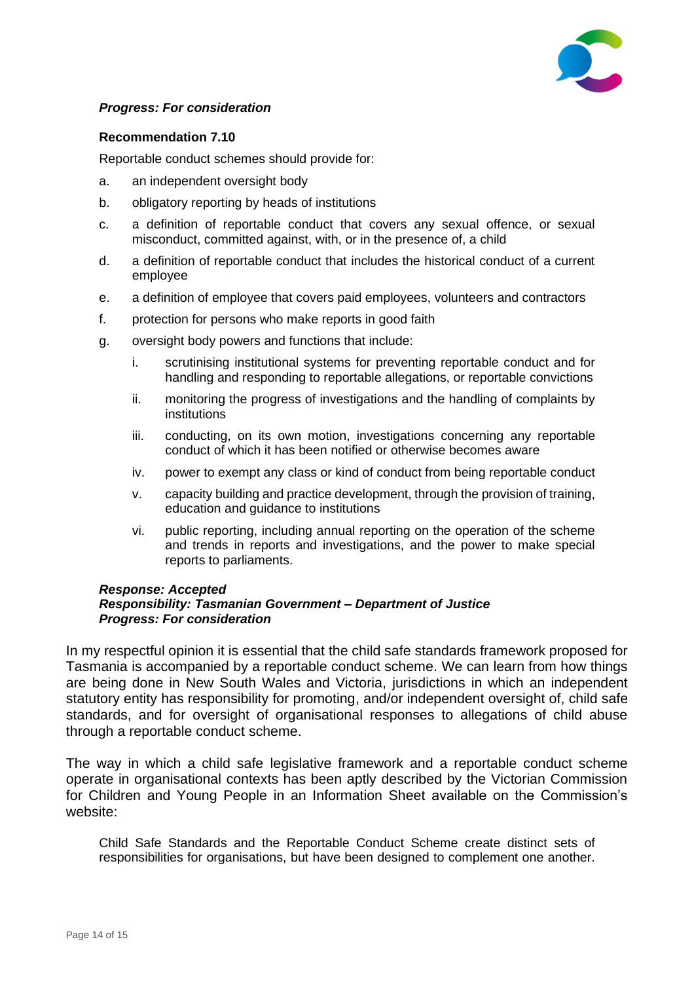

## *Progress: For consideration*

## **Recommendation 7.10**

Reportable conduct schemes should provide for:

- a. an independent oversight body
- b. obligatory reporting by heads of institutions
- c. a definition of reportable conduct that covers any sexual offence, or sexual misconduct, committed against, with, or in the presence of, a child
- d. a definition of reportable conduct that includes the historical conduct of a current employee
- e. a definition of employee that covers paid employees, volunteers and contractors
- f. protection for persons who make reports in good faith
- g. oversight body powers and functions that include:
	- i. scrutinising institutional systems for preventing reportable conduct and for handling and responding to reportable allegations, or reportable convictions
	- ii. monitoring the progress of investigations and the handling of complaints by institutions
	- iii. conducting, on its own motion, investigations concerning any reportable conduct of which it has been notified or otherwise becomes aware
	- iv. power to exempt any class or kind of conduct from being reportable conduct
	- v. capacity building and practice development, through the provision of training, education and guidance to institutions
	- vi. public reporting, including annual reporting on the operation of the scheme and trends in reports and investigations, and the power to make special reports to parliaments.

#### *Response: Accepted Responsibility: Tasmanian Government – Department of Justice Progress: For consideration*

In my respectful opinion it is essential that the child safe standards framework proposed for Tasmania is accompanied by a reportable conduct scheme. We can learn from how things are being done in New South Wales and Victoria, jurisdictions in which an independent statutory entity has responsibility for promoting, and/or independent oversight of, child safe standards, and for oversight of organisational responses to allegations of child abuse through a reportable conduct scheme.

The way in which a child safe legislative framework and a reportable conduct scheme operate in organisational contexts has been aptly described by the Victorian Commission for Children and Young People in an Information Sheet available on the Commission's website:

Child Safe Standards and the Reportable Conduct Scheme create distinct sets of responsibilities for organisations, but have been designed to complement one another.